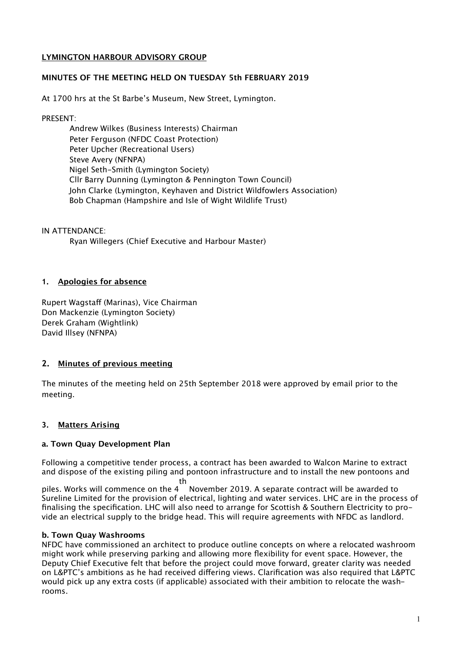# **LYMINGTON HARBOUR ADVISORY GROUP**

## **MINUTES OF THE MEETING HELD ON TUESDAY 5th FEBRUARY 2019**

At 1700 hrs at the St Barbe's Museum, New Street, Lymington.

PRESENT:

Andrew Wilkes (Business Interests) Chairman Peter Ferguson (NFDC Coast Protection) Peter Upcher (Recreational Users) Steve Avery (NFNPA) Nigel Seth-Smith (Lymington Society) Cllr Barry Dunning (Lymington & Pennington Town Council) John Clarke (Lymington, Keyhaven and District Wildfowlers Association) Bob Chapman (Hampshire and Isle of Wight Wildlife Trust)

IN ATTENDANCE:

Ryan Willegers (Chief Executive and Harbour Master)

## **1. Apologies for absence**

Rupert Wagstaff (Marinas), Vice Chairman Don Mackenzie (Lymington Society) Derek Graham (Wightlink) David Illsey (NFNPA)

# **2. Minutes of previous meeting**

The minutes of the meeting held on 25th September 2018 were approved by email prior to the meeting.

# **3. Matters Arising**

## **a. Town Quay Development Plan**

Following a competitive tender process, a contract has been awarded to Walcon Marine to extract and dispose of the existing piling and pontoon infrastructure and to install the new pontoons and th

piles. Works will commence on the 4 November 2019. A separate contract will be awarded to Sureline Limited for the provision of electrical, lighting and water services. LHC are in the process of finalising the specification. LHC will also need to arrange for Scottish & Southern Electricity to provide an electrical supply to the bridge head. This will require agreements with NFDC as landlord.

## **b. Town Quay Washrooms**

NFDC have commissioned an architect to produce outline concepts on where a relocated washroom might work while preserving parking and allowing more flexibility for event space. However, the Deputy Chief Executive felt that before the project could move forward, greater clarity was needed on L&PTC's ambitions as he had received difering views. Clarification was also required that L&PTC would pick up any extra costs (if applicable) associated with their ambition to relocate the washrooms.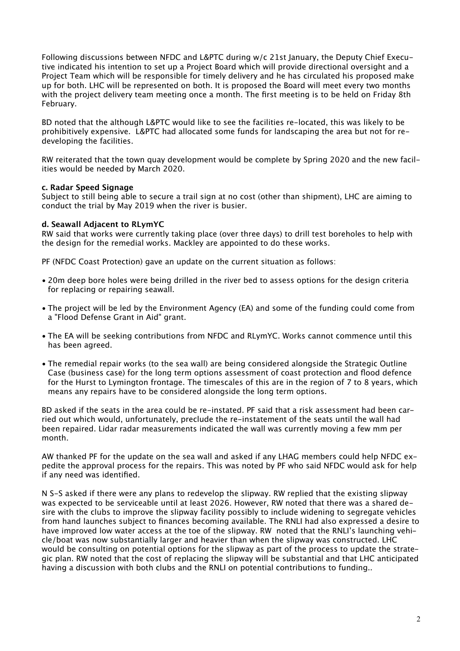Following discussions between NFDC and L&PTC during w/c 21st January, the Deputy Chief Executive indicated his intention to set up a Project Board which will provide directional oversight and a Project Team which will be responsible for timely delivery and he has circulated his proposed make up for both. LHC will be represented on both. It is proposed the Board will meet every two months with the project delivery team meeting once a month. The first meeting is to be held on Friday 8th February.

BD noted that the although L&PTC would like to see the facilities re-located, this was likely to be prohibitively expensive. L&PTC had allocated some funds for landscaping the area but not for redeveloping the facilities.

RW reiterated that the town quay development would be complete by Spring 2020 and the new facilities would be needed by March 2020.

## **c. Radar Speed Signage**

Subject to still being able to secure a trail sign at no cost (other than shipment), LHC are aiming to conduct the trial by May 2019 when the river is busier.

#### **d. Seawall Adjacent to RLymYC**

RW said that works were currently taking place (over three days) to drill test boreholes to help with the design for the remedial works. Mackley are appointed to do these works.

PF (NFDC Coast Protection) gave an update on the current situation as follows:

- 20m deep bore holes were being drilled in the river bed to assess options for the design criteria for replacing or repairing seawall.
- The project will be led by the Environment Agency (EA) and some of the funding could come from a "Flood Defense Grant in Aid" grant.
- The EA will be seeking contributions from NFDC and RLymYC. Works cannot commence until this has been agreed.
- The remedial repair works (to the sea wall) are being considered alongside the Strategic Outline Case (business case) for the long term options assessment of coast protection and flood defence for the Hurst to Lymington frontage. The timescales of this are in the region of 7 to 8 years, which means any repairs have to be considered alongside the long term options.

BD asked if the seats in the area could be re-instated. PF said that a risk assessment had been carried out which would, unfortunately, preclude the re-instatement of the seats until the wall had been repaired. Lidar radar measurements indicated the wall was currently moving a few mm per month.

AW thanked PF for the update on the sea wall and asked if any LHAG members could help NFDC expedite the approval process for the repairs. This was noted by PF who said NFDC would ask for help if any need was identified.

N S-S asked if there were any plans to redevelop the slipway. RW replied that the existing slipway was expected to be serviceable until at least 2026. However, RW noted that there was a shared desire with the clubs to improve the slipway facility possibly to include widening to segregate vehicles from hand launches subject to finances becoming available. The RNLI had also expressed a desire to have improved low water access at the toe of the slipway. RW noted that the RNLI's launching vehicle/boat was now substantially larger and heavier than when the slipway was constructed. LHC would be consulting on potential options for the slipway as part of the process to update the strategic plan. RW noted that the cost of replacing the slipway will be substantial and that LHC anticipated having a discussion with both clubs and the RNLI on potential contributions to funding..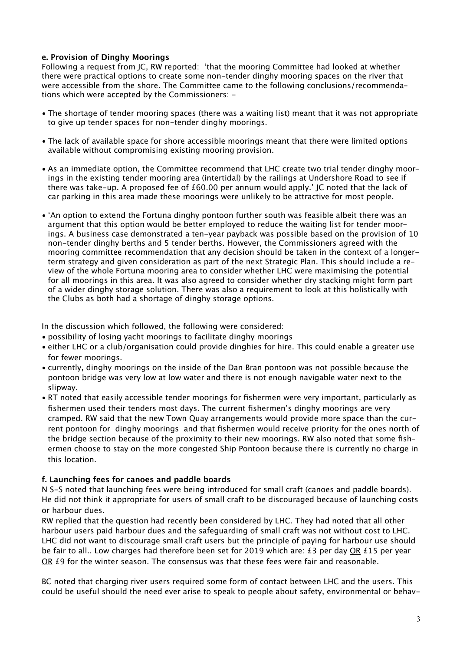# **e. Provision of Dinghy Moorings**

Following a request from JC, RW reported: 'that the mooring Committee had looked at whether there were practical options to create some non-tender dinghy mooring spaces on the river that were accessible from the shore. The Committee came to the following conclusions/recommendations which were accepted by the Commissioners: -

- The shortage of tender mooring spaces (there was a waiting list) meant that it was not appropriate to give up tender spaces for non-tender dinghy moorings.
- The lack of available space for shore accessible moorings meant that there were limited options available without compromising existing mooring provision.
- As an immediate option, the Committee recommend that LHC create two trial tender dinghy moorings in the existing tender mooring area (intertidal) by the railings at Undershore Road to see if there was take-up. A proposed fee of £60.00 per annum would apply.' JC noted that the lack of car parking in this area made these moorings were unlikely to be attractive for most people.
- 'An option to extend the Fortuna dinghy pontoon further south was feasible albeit there was an argument that this option would be better employed to reduce the waiting list for tender moorings. A business case demonstrated a ten-year payback was possible based on the provision of 10 non-tender dinghy berths and 5 tender berths. However, the Commissioners agreed with the mooring committee recommendation that any decision should be taken in the context of a longerterm strategy and given consideration as part of the next Strategic Plan. This should include a review of the whole Fortuna mooring area to consider whether LHC were maximising the potential for all moorings in this area. It was also agreed to consider whether dry stacking might form part of a wider dinghy storage solution. There was also a requirement to look at this holistically with the Clubs as both had a shortage of dinghy storage options.

In the discussion which followed, the following were considered:

- possibility of losing yacht moorings to facilitate dinghy moorings
- either LHC or a club/organisation could provide dinghies for hire. This could enable a greater use for fewer moorings.
- currently, dinghy moorings on the inside of the Dan Bran pontoon was not possible because the pontoon bridge was very low at low water and there is not enough navigable water next to the slipway.
- RT noted that easily accessible tender moorings for fishermen were very important, particularly as fishermen used their tenders most days. The current fishermen's dinghy moorings are very cramped. RW said that the new Town Quay arrangements would provide more space than the current pontoon for dinghy moorings and that fishermen would receive priority for the ones north of the bridge section because of the proximity to their new moorings. RW also noted that some fishermen choose to stay on the more congested Ship Pontoon because there is currently no charge in this location.

## **f. Launching fees for canoes and paddle boards**

N S-S noted that launching fees were being introduced for small craft (canoes and paddle boards). He did not think it appropriate for users of small craft to be discouraged because of launching costs or harbour dues.

RW replied that the question had recently been considered by LHC. They had noted that all other harbour users paid harbour dues and the safeguarding of small craft was not without cost to LHC. LHC did not want to discourage small craft users but the principle of paying for harbour use should be fair to all.. Low charges had therefore been set for 2019 which are: £3 per day OR £15 per year OR £9 for the winter season. The consensus was that these fees were fair and reasonable.

BC noted that charging river users required some form of contact between LHC and the users. This could be useful should the need ever arise to speak to people about safety, environmental or behav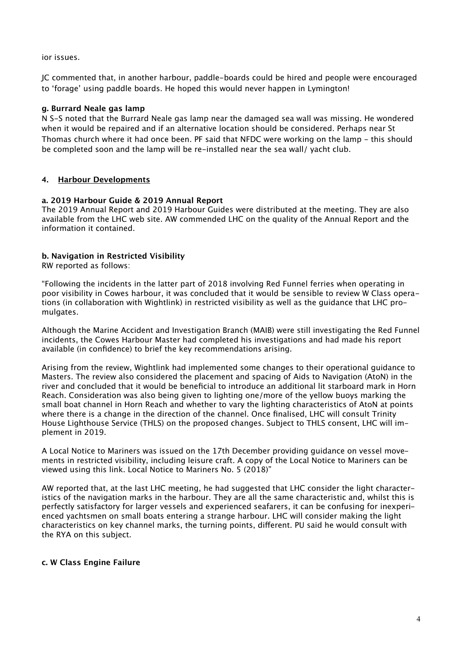ior issues.

JC commented that, in another harbour, paddle-boards could be hired and people were encouraged to 'forage' using paddle boards. He hoped this would never happen in Lymington!

# **g. Burrard Neale gas lamp**

N S-S noted that the Burrard Neale gas lamp near the damaged sea wall was missing. He wondered when it would be repaired and if an alternative location should be considered. Perhaps near St Thomas church where it had once been. PF said that NFDC were working on the lamp - this should be completed soon and the lamp will be re-installed near the sea wall/ yacht club.

# **4. Harbour Developments**

# **a. 2019 Harbour Guide & 2019 Annual Report**

The 2019 Annual Report and 2019 Harbour Guides were distributed at the meeting. They are also available from the LHC web site. AW commended LHC on the quality of the Annual Report and the information it contained.

# **b. Navigation in Restricted Visibility**

RW reported as follows:

"Following the incidents in the latter part of 2018 involving Red Funnel ferries when operating in poor visibility in Cowes harbour, it was concluded that it would be sensible to review W Class operations (in collaboration with Wightlink) in restricted visibility as well as the guidance that LHC promulgates.

Although the Marine Accident and Investigation Branch (MAIB) were still investigating the Red Funnel incidents, the Cowes Harbour Master had completed his investigations and had made his report available (in confidence) to brief the key recommendations arising.

Arising from the review, Wightlink had implemented some changes to their operational guidance to Masters. The review also considered the placement and spacing of Aids to Navigation (AtoN) in the river and concluded that it would be beneficial to introduce an additional lit starboard mark in Horn Reach. Consideration was also being given to lighting one/more of the yellow buoys marking the small boat channel in Horn Reach and whether to vary the lighting characteristics of AtoN at points where there is a change in the direction of the channel. Once finalised, LHC will consult Trinity House Lighthouse Service (THLS) on the proposed changes. Subject to THLS consent, LHC will implement in 2019.

A Local Notice to Mariners was issued on the 17th December providing guidance on vessel movements in restricted visibility, including leisure craft. A copy of the Local Notice to Mariners can be viewed using this link. Local Notice to Mariners No. 5 (2018)"

AW reported that, at the last LHC meeting, he had suggested that LHC consider the light characteristics of the navigation marks in the harbour. They are all the same characteristic and, whilst this is perfectly satisfactory for larger vessels and experienced seafarers, it can be confusing for inexperienced yachtsmen on small boats entering a strange harbour. LHC will consider making the light characteristics on key channel marks, the turning points, diferent. PU said he would consult with the RYA on this subject.

# **c. W Class Engine Failure**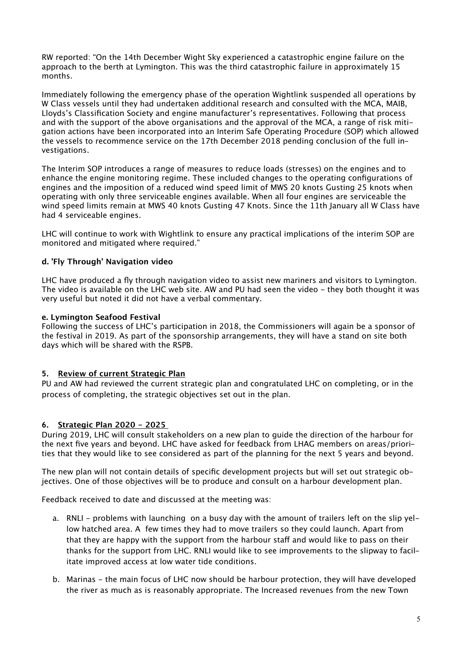RW reported: "On the 14th December Wight Sky experienced a catastrophic engine failure on the approach to the berth at Lymington. This was the third catastrophic failure in approximately 15 months.

Immediately following the emergency phase of the operation Wightlink suspended all operations by W Class vessels until they had undertaken additional research and consulted with the MCA, MAIB, Lloyds's Classification Society and engine manufacturer's representatives. Following that process and with the support of the above organisations and the approval of the MCA, a range of risk mitigation actions have been incorporated into an Interim Safe Operating Procedure (SOP) which allowed the vessels to recommence service on the 17th December 2018 pending conclusion of the full investigations.

The Interim SOP introduces a range of measures to reduce loads (stresses) on the engines and to enhance the engine monitoring regime. These included changes to the operating configurations of engines and the imposition of a reduced wind speed limit of MWS 20 knots Gusting 25 knots when operating with only three serviceable engines available. When all four engines are serviceable the wind speed limits remain at MWS 40 knots Gusting 47 Knots. Since the 11th January all W Class have had 4 serviceable engines.

LHC will continue to work with Wightlink to ensure any practical implications of the interim SOP are monitored and mitigated where required."

# **d. 'Fly Through' Navigation video**

LHC have produced a fly through navigation video to assist new mariners and visitors to Lymington. The video is available on the LHC web site. AW and PU had seen the video - they both thought it was very useful but noted it did not have a verbal commentary.

# **e. Lymington Seafood Festival**

Following the success of LHC's participation in 2018, the Commissioners will again be a sponsor of the festival in 2019. As part of the sponsorship arrangements, they will have a stand on site both days which will be shared with the RSPB.

# **5. Review of current Strategic Plan**

PU and AW had reviewed the current strategic plan and congratulated LHC on completing, or in the process of completing, the strategic objectives set out in the plan.

# **6. Strategic Plan 2020 - 2025**

During 2019, LHC will consult stakeholders on a new plan to guide the direction of the harbour for the next five years and beyond. LHC have asked for feedback from LHAG members on areas/priorities that they would like to see considered as part of the planning for the next 5 years and beyond.

The new plan will not contain details of specific development projects but will set out strategic objectives. One of those objectives will be to produce and consult on a harbour development plan.

Feedback received to date and discussed at the meeting was:

- a. RNLI problems with launching on a busy day with the amount of trailers left on the slip yellow hatched area. A few times they had to move trailers so they could launch. Apart from that they are happy with the support from the harbour staff and would like to pass on their thanks for the support from LHC. RNLI would like to see improvements to the slipway to facilitate improved access at low water tide conditions.
- b. Marinas the main focus of LHC now should be harbour protection, they will have developed the river as much as is reasonably appropriate. The Increased revenues from the new Town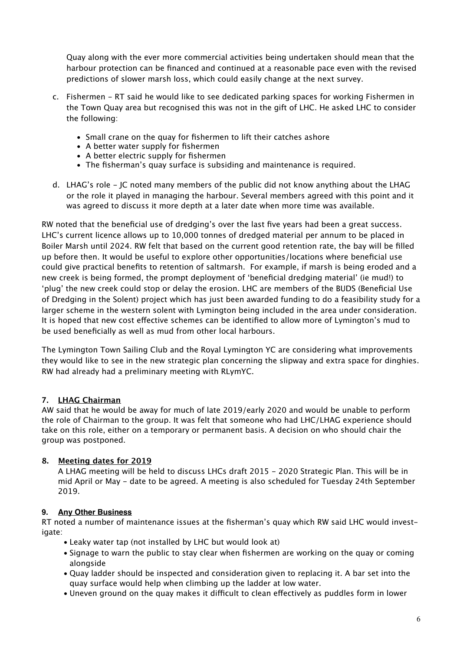Quay along with the ever more commercial activities being undertaken should mean that the harbour protection can be financed and continued at a reasonable pace even with the revised predictions of slower marsh loss, which could easily change at the next survey.

- c. Fishermen RT said he would like to see dedicated parking spaces for working Fishermen in the Town Quay area but recognised this was not in the gift of LHC. He asked LHC to consider the following:
	- Small crane on the quay for fishermen to lift their catches ashore
	- A better water supply for fishermen
	- A better electric supply for fishermen
	- The fisherman's quay surface is subsiding and maintenance is required.
- d. LHAG's role JC noted many members of the public did not know anything about the LHAG or the role it played in managing the harbour. Several members agreed with this point and it was agreed to discuss it more depth at a later date when more time was available.

RW noted that the beneficial use of dredging's over the last five years had been a great success. LHC's current licence allows up to 10,000 tonnes of dredged material per annum to be placed in Boiler Marsh until 2024. RW felt that based on the current good retention rate, the bay will be filled up before then. It would be useful to explore other opportunities/locations where beneficial use could give practical benefits to retention of saltmarsh. For example, if marsh is being eroded and a new creek is being formed, the prompt deployment of 'beneficial dredging material' (ie mud!) to 'plug' the new creek could stop or delay the erosion. LHC are members of the BUDS (Beneficial Use of Dredging in the Solent) project which has just been awarded funding to do a feasibility study for a larger scheme in the western solent with Lymington being included in the area under consideration. It is hoped that new cost efective schemes can be identified to allow more of Lymington's mud to be used beneficially as well as mud from other local harbours.

The Lymington Town Sailing Club and the Royal Lymington YC are considering what improvements they would like to see in the new strategic plan concerning the slipway and extra space for dinghies. RW had already had a preliminary meeting with RLymYC.

# **7. LHAG Chairman**

AW said that he would be away for much of late 2019/early 2020 and would be unable to perform the role of Chairman to the group. It was felt that someone who had LHC/LHAG experience should take on this role, either on a temporary or permanent basis. A decision on who should chair the group was postponed.

# **8. Meeting dates for 2019**

A LHAG meeting will be held to discuss LHCs draft 2015 - 2020 Strategic Plan. This will be in mid April or May - date to be agreed. A meeting is also scheduled for Tuesday 24th September 2019.

# **9. Any Other Business**

RT noted a number of maintenance issues at the fisherman's quay which RW said LHC would investigate:

- Leaky water tap (not installed by LHC but would look at)
- Signage to warn the public to stay clear when fishermen are working on the quay or coming alongside
- Quay ladder should be inspected and consideration given to replacing it. A bar set into the quay surface would help when climbing up the ladder at low water.
- Uneven ground on the quay makes it difficult to clean effectively as puddles form in lower